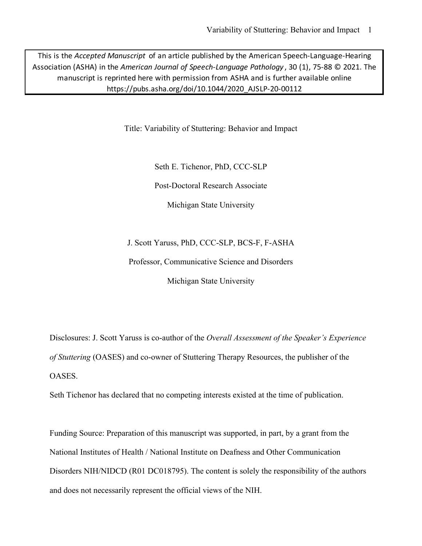This is the *Accepted Manuscript* of an article published by the American Speech-Language-Hearing Association (ASHA) in the *American Journal of Speech-Language Pathology* , 30 (1), 75-88 © 2021. The manuscript is reprinted here with permission from ASHA and is further available online https://pubs.asha.org/doi/10.1044/2020\_AJSLP-20-00112

Title: Variability of Stuttering: Behavior and Impact

Seth E. Tichenor, PhD, CCC-SLP

Post-Doctoral Research Associate

Michigan State University

J. Scott Yaruss, PhD, CCC-SLP, BCS-F, F-ASHA

Professor, Communicative Science and Disorders

Michigan State University

Disclosures: J. Scott Yaruss is co-author of the *Overall Assessment of the Speaker's Experience of Stuttering* (OASES) and co-owner of Stuttering Therapy Resources, the publisher of the OASES.

Seth Tichenor has declared that no competing interests existed at the time of publication.

Funding Source: Preparation of this manuscript was supported, in part, by a grant from the National Institutes of Health / National Institute on Deafness and Other Communication Disorders NIH/NIDCD (R01 DC018795). The content is solely the responsibility of the authors and does not necessarily represent the official views of the NIH.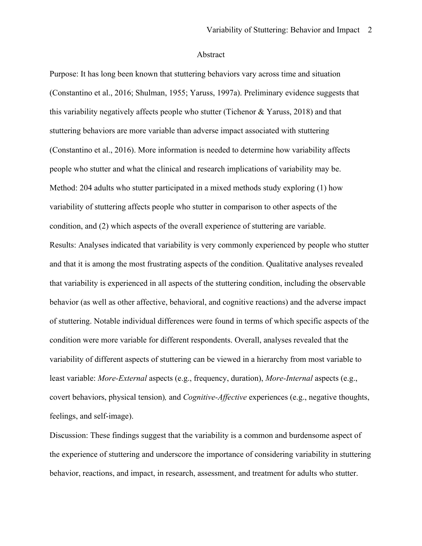### Abstract

Purpose: It has long been known that stuttering behaviors vary across time and situation (Constantino et al., 2016; Shulman, 1955; Yaruss, 1997a). Preliminary evidence suggests that this variability negatively affects people who stutter (Tichenor & Yaruss, 2018) and that stuttering behaviors are more variable than adverse impact associated with stuttering (Constantino et al., 2016). More information is needed to determine how variability affects people who stutter and what the clinical and research implications of variability may be. Method: 204 adults who stutter participated in a mixed methods study exploring (1) how variability of stuttering affects people who stutter in comparison to other aspects of the condition, and (2) which aspects of the overall experience of stuttering are variable. Results: Analyses indicated that variability is very commonly experienced by people who stutter and that it is among the most frustrating aspects of the condition. Qualitative analyses revealed that variability is experienced in all aspects of the stuttering condition, including the observable behavior (as well as other affective, behavioral, and cognitive reactions) and the adverse impact of stuttering. Notable individual differences were found in terms of which specific aspects of the condition were more variable for different respondents. Overall, analyses revealed that the variability of different aspects of stuttering can be viewed in a hierarchy from most variable to least variable: *More-External* aspects (e.g., frequency, duration), *More-Internal* aspects (e.g., covert behaviors, physical tension)*,* and *Cognitive-Affective* experiences (e.g., negative thoughts, feelings, and self-image).

Discussion: These findings suggest that the variability is a common and burdensome aspect of the experience of stuttering and underscore the importance of considering variability in stuttering behavior, reactions, and impact, in research, assessment, and treatment for adults who stutter.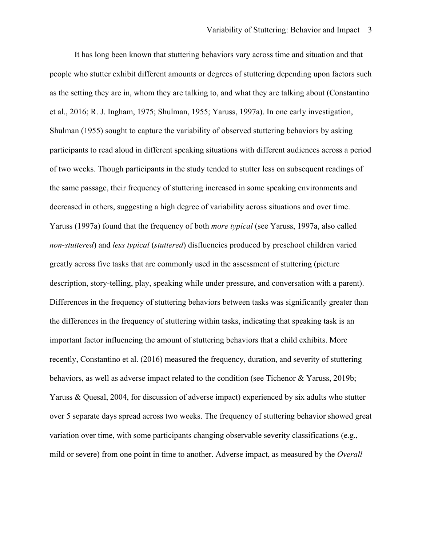It has long been known that stuttering behaviors vary across time and situation and that people who stutter exhibit different amounts or degrees of stuttering depending upon factors such as the setting they are in, whom they are talking to, and what they are talking about (Constantino et al., 2016; R. J. Ingham, 1975; Shulman, 1955; Yaruss, 1997a). In one early investigation, Shulman (1955) sought to capture the variability of observed stuttering behaviors by asking participants to read aloud in different speaking situations with different audiences across a period of two weeks. Though participants in the study tended to stutter less on subsequent readings of the same passage, their frequency of stuttering increased in some speaking environments and decreased in others, suggesting a high degree of variability across situations and over time. Yaruss (1997a) found that the frequency of both *more typical* (see Yaruss, 1997a, also called *non-stuttered*) and *less typical* (*stuttered*) disfluencies produced by preschool children varied greatly across five tasks that are commonly used in the assessment of stuttering (picture description, story-telling, play, speaking while under pressure, and conversation with a parent). Differences in the frequency of stuttering behaviors between tasks was significantly greater than the differences in the frequency of stuttering within tasks, indicating that speaking task is an important factor influencing the amount of stuttering behaviors that a child exhibits. More recently, Constantino et al. (2016) measured the frequency, duration, and severity of stuttering behaviors, as well as adverse impact related to the condition (see Tichenor & Yaruss, 2019b; Yaruss & Quesal, 2004, for discussion of adverse impact) experienced by six adults who stutter over 5 separate days spread across two weeks. The frequency of stuttering behavior showed great variation over time, with some participants changing observable severity classifications (e.g., mild or severe) from one point in time to another. Adverse impact, as measured by the *Overall*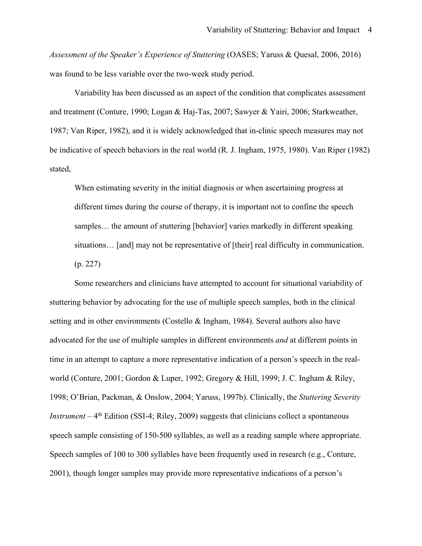*Assessment of the Speaker's Experience of Stuttering* (OASES; Yaruss & Quesal, 2006, 2016) was found to be less variable over the two-week study period.

Variability has been discussed as an aspect of the condition that complicates assessment and treatment (Conture, 1990; Logan & Haj-Tas, 2007; Sawyer & Yairi, 2006; Starkweather, 1987; Van Riper, 1982), and it is widely acknowledged that in-clinic speech measures may not be indicative of speech behaviors in the real world (R. J. Ingham, 1975, 1980). Van Riper (1982) stated,

When estimating severity in the initial diagnosis or when ascertaining progress at different times during the course of therapy, it is important not to confine the speech samples… the amount of stuttering [behavior] varies markedly in different speaking situations… [and] may not be representative of [their] real difficulty in communication. (p. 227)

Some researchers and clinicians have attempted to account for situational variability of stuttering behavior by advocating for the use of multiple speech samples, both in the clinical setting and in other environments (Costello & Ingham, 1984). Several authors also have advocated for the use of multiple samples in different environments *and* at different points in time in an attempt to capture a more representative indication of a person's speech in the realworld (Conture, 2001; Gordon & Luper, 1992; Gregory & Hill, 1999; J. C. Ingham & Riley, 1998; O'Brian, Packman, & Onslow, 2004; Yaruss, 1997b). Clinically, the *Stuttering Severity Instrument* – 4<sup>th</sup> Edition (SSI-4; Riley, 2009) suggests that clinicians collect a spontaneous speech sample consisting of 150-500 syllables, as well as a reading sample where appropriate. Speech samples of 100 to 300 syllables have been frequently used in research (e.g., Conture, 2001), though longer samples may provide more representative indications of a person's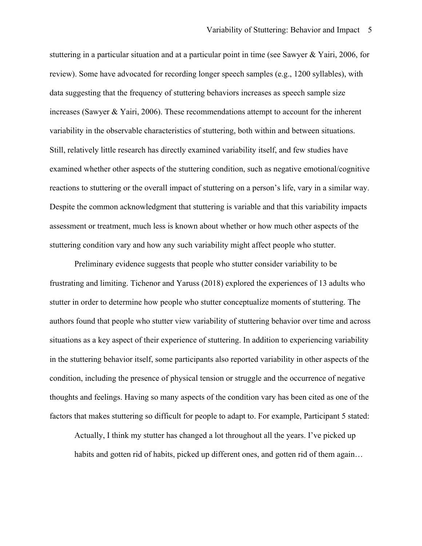stuttering in a particular situation and at a particular point in time (see Sawyer & Yairi, 2006, for review). Some have advocated for recording longer speech samples (e.g., 1200 syllables), with data suggesting that the frequency of stuttering behaviors increases as speech sample size increases (Sawyer & Yairi, 2006). These recommendations attempt to account for the inherent variability in the observable characteristics of stuttering, both within and between situations. Still, relatively little research has directly examined variability itself, and few studies have examined whether other aspects of the stuttering condition, such as negative emotional/cognitive reactions to stuttering or the overall impact of stuttering on a person's life, vary in a similar way. Despite the common acknowledgment that stuttering is variable and that this variability impacts assessment or treatment, much less is known about whether or how much other aspects of the stuttering condition vary and how any such variability might affect people who stutter.

Preliminary evidence suggests that people who stutter consider variability to be frustrating and limiting. Tichenor and Yaruss (2018) explored the experiences of 13 adults who stutter in order to determine how people who stutter conceptualize moments of stuttering. The authors found that people who stutter view variability of stuttering behavior over time and across situations as a key aspect of their experience of stuttering. In addition to experiencing variability in the stuttering behavior itself, some participants also reported variability in other aspects of the condition, including the presence of physical tension or struggle and the occurrence of negative thoughts and feelings. Having so many aspects of the condition vary has been cited as one of the factors that makes stuttering so difficult for people to adapt to. For example, Participant 5 stated:

Actually, I think my stutter has changed a lot throughout all the years. I've picked up habits and gotten rid of habits, picked up different ones, and gotten rid of them again...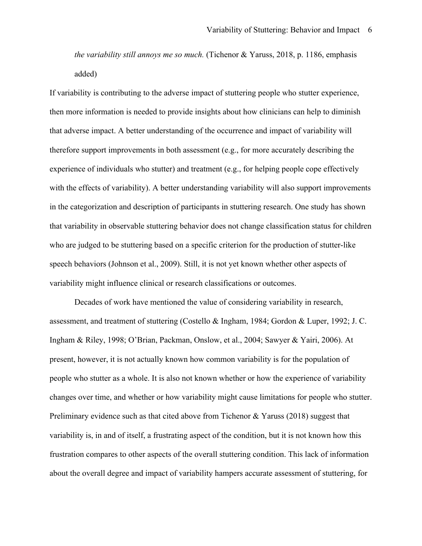*the variability still annoys me so much.* (Tichenor & Yaruss, 2018, p. 1186, emphasis added)

If variability is contributing to the adverse impact of stuttering people who stutter experience, then more information is needed to provide insights about how clinicians can help to diminish that adverse impact. A better understanding of the occurrence and impact of variability will therefore support improvements in both assessment (e.g., for more accurately describing the experience of individuals who stutter) and treatment (e.g., for helping people cope effectively with the effects of variability). A better understanding variability will also support improvements in the categorization and description of participants in stuttering research. One study has shown that variability in observable stuttering behavior does not change classification status for children who are judged to be stuttering based on a specific criterion for the production of stutter-like speech behaviors (Johnson et al., 2009). Still, it is not yet known whether other aspects of variability might influence clinical or research classifications or outcomes.

Decades of work have mentioned the value of considering variability in research, assessment, and treatment of stuttering (Costello & Ingham, 1984; Gordon & Luper, 1992; J. C. Ingham & Riley, 1998; O'Brian, Packman, Onslow, et al., 2004; Sawyer & Yairi, 2006). At present, however, it is not actually known how common variability is for the population of people who stutter as a whole. It is also not known whether or how the experience of variability changes over time, and whether or how variability might cause limitations for people who stutter. Preliminary evidence such as that cited above from Tichenor & Yaruss (2018) suggest that variability is, in and of itself, a frustrating aspect of the condition, but it is not known how this frustration compares to other aspects of the overall stuttering condition. This lack of information about the overall degree and impact of variability hampers accurate assessment of stuttering, for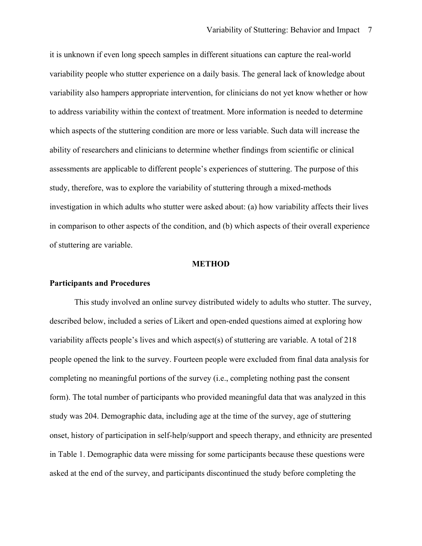it is unknown if even long speech samples in different situations can capture the real-world variability people who stutter experience on a daily basis. The general lack of knowledge about variability also hampers appropriate intervention, for clinicians do not yet know whether or how to address variability within the context of treatment. More information is needed to determine which aspects of the stuttering condition are more or less variable. Such data will increase the ability of researchers and clinicians to determine whether findings from scientific or clinical assessments are applicable to different people's experiences of stuttering. The purpose of this study, therefore, was to explore the variability of stuttering through a mixed-methods investigation in which adults who stutter were asked about: (a) how variability affects their lives in comparison to other aspects of the condition, and (b) which aspects of their overall experience of stuttering are variable.

#### **METHOD**

#### **Participants and Procedures**

This study involved an online survey distributed widely to adults who stutter. The survey, described below, included a series of Likert and open-ended questions aimed at exploring how variability affects people's lives and which aspect(s) of stuttering are variable. A total of 218 people opened the link to the survey. Fourteen people were excluded from final data analysis for completing no meaningful portions of the survey (i.e., completing nothing past the consent form). The total number of participants who provided meaningful data that was analyzed in this study was 204. Demographic data, including age at the time of the survey, age of stuttering onset, history of participation in self-help/support and speech therapy, and ethnicity are presented in Table 1. Demographic data were missing for some participants because these questions were asked at the end of the survey, and participants discontinued the study before completing the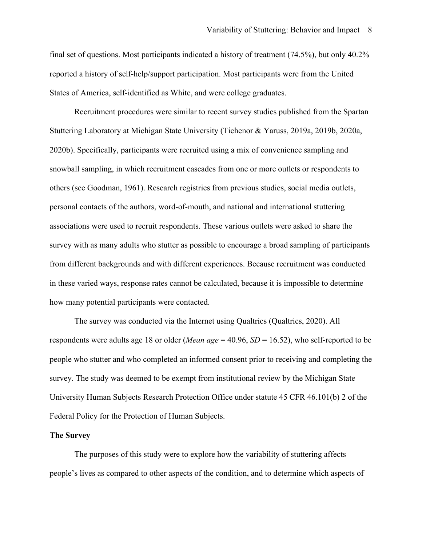final set of questions. Most participants indicated a history of treatment (74.5%), but only 40.2% reported a history of self-help/support participation. Most participants were from the United States of America, self-identified as White, and were college graduates.

Recruitment procedures were similar to recent survey studies published from the Spartan Stuttering Laboratory at Michigan State University (Tichenor & Yaruss, 2019a, 2019b, 2020a, 2020b). Specifically, participants were recruited using a mix of convenience sampling and snowball sampling, in which recruitment cascades from one or more outlets or respondents to others (see Goodman, 1961). Research registries from previous studies, social media outlets, personal contacts of the authors, word-of-mouth, and national and international stuttering associations were used to recruit respondents. These various outlets were asked to share the survey with as many adults who stutter as possible to encourage a broad sampling of participants from different backgrounds and with different experiences. Because recruitment was conducted in these varied ways, response rates cannot be calculated, because it is impossible to determine how many potential participants were contacted.

The survey was conducted via the Internet using Qualtrics (Qualtrics, 2020). All respondents were adults age 18 or older (*Mean age* = 40.96, *SD* = 16.52), who self-reported to be people who stutter and who completed an informed consent prior to receiving and completing the survey. The study was deemed to be exempt from institutional review by the Michigan State University Human Subjects Research Protection Office under statute 45 CFR 46.101(b) 2 of the Federal Policy for the Protection of Human Subjects.

#### **The Survey**

The purposes of this study were to explore how the variability of stuttering affects people's lives as compared to other aspects of the condition, and to determine which aspects of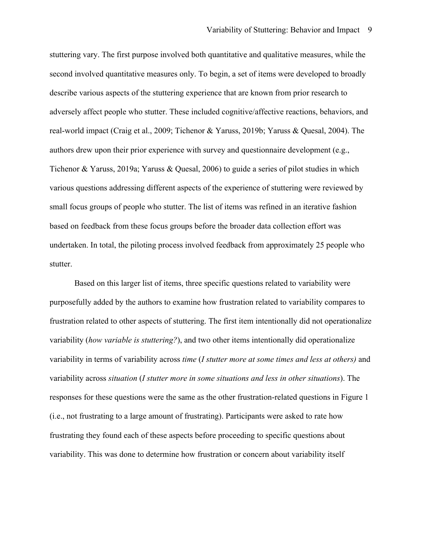stuttering vary. The first purpose involved both quantitative and qualitative measures, while the second involved quantitative measures only. To begin, a set of items were developed to broadly describe various aspects of the stuttering experience that are known from prior research to adversely affect people who stutter. These included cognitive/affective reactions, behaviors, and real-world impact (Craig et al., 2009; Tichenor & Yaruss, 2019b; Yaruss & Quesal, 2004). The authors drew upon their prior experience with survey and questionnaire development (e.g., Tichenor & Yaruss, 2019a; Yaruss & Quesal, 2006) to guide a series of pilot studies in which various questions addressing different aspects of the experience of stuttering were reviewed by small focus groups of people who stutter. The list of items was refined in an iterative fashion based on feedback from these focus groups before the broader data collection effort was undertaken. In total, the piloting process involved feedback from approximately 25 people who stutter.

Based on this larger list of items, three specific questions related to variability were purposefully added by the authors to examine how frustration related to variability compares to frustration related to other aspects of stuttering. The first item intentionally did not operationalize variability (*how variable is stuttering?*), and two other items intentionally did operationalize variability in terms of variability across *time* (*I stutter more at some times and less at others)* and variability across *situation* (*I stutter more in some situations and less in other situations*). The responses for these questions were the same as the other frustration-related questions in Figure 1 (i.e., not frustrating to a large amount of frustrating). Participants were asked to rate how frustrating they found each of these aspects before proceeding to specific questions about variability. This was done to determine how frustration or concern about variability itself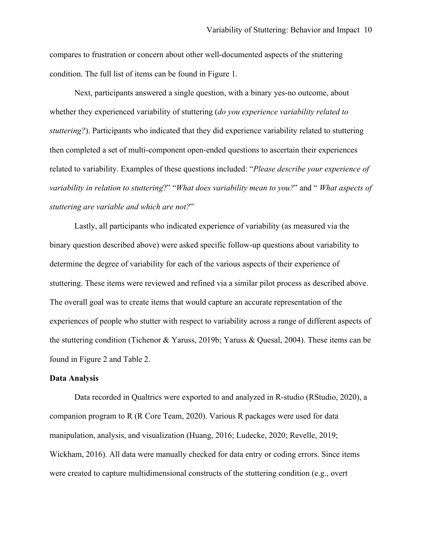compares to frustration or concern about other well-documented aspects of the stuttering condition. The full list of items can be found in Figure 1.

Next, participants answered a single question, with a binary yes-no outcome, about whether they experienced variability of stuttering (*do you experience variability related to stuttering?*). Participants who indicated that they did experience variability related to stuttering then completed a set of multi-component open-ended questions to ascertain their experiences related to variability. Examples of these questions included: "*Please describe your experience of variability in relation to stuttering*?" "*What does variability mean to you?*" and " *What aspects of stuttering are variable and which are not?*"

Lastly, all participants who indicated experience of variability (as measured via the binary question described above) were asked specific follow-up questions about variability to determine the degree of variability for each of the various aspects of their experience of stuttering. These items were reviewed and refined via a similar pilot process as described above. The overall goal was to create items that would capture an accurate representation of the experiences of people who stutter with respect to variability across a range of different aspects of the stuttering condition (Tichenor & Yaruss, 2019b; Yaruss & Quesal, 2004). These items can be found in Figure 2 and Table 2.

## **Data Analysis**

Data recorded in Qualtrics were exported to and analyzed in R-studio (RStudio, 2020), a companion program to R (R Core Team, 2020). Various R packages were used for data manipulation, analysis, and visualization (Huang, 2016; Ludecke, 2020; Revelle, 2019; Wickham, 2016). All data were manually checked for data entry or coding errors. Since items were created to capture multidimensional constructs of the stuttering condition (e.g., overt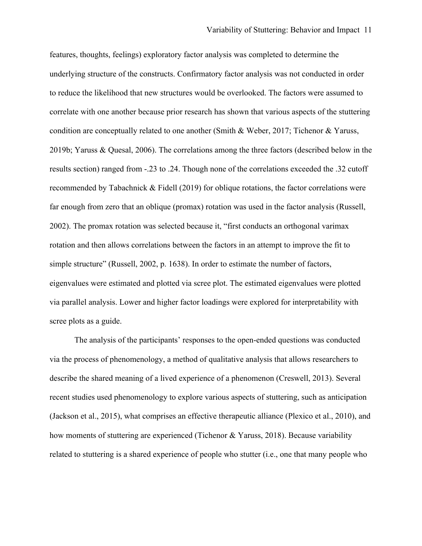features, thoughts, feelings) exploratory factor analysis was completed to determine the underlying structure of the constructs. Confirmatory factor analysis was not conducted in order to reduce the likelihood that new structures would be overlooked. The factors were assumed to correlate with one another because prior research has shown that various aspects of the stuttering condition are conceptually related to one another (Smith & Weber, 2017; Tichenor & Yaruss, 2019b; Yaruss & Quesal, 2006). The correlations among the three factors (described below in the results section) ranged from -.23 to .24. Though none of the correlations exceeded the .32 cutoff recommended by Tabachnick & Fidell (2019) for oblique rotations, the factor correlations were far enough from zero that an oblique (promax) rotation was used in the factor analysis (Russell, 2002). The promax rotation was selected because it, "first conducts an orthogonal varimax rotation and then allows correlations between the factors in an attempt to improve the fit to simple structure" (Russell, 2002, p. 1638). In order to estimate the number of factors, eigenvalues were estimated and plotted via scree plot. The estimated eigenvalues were plotted via parallel analysis. Lower and higher factor loadings were explored for interpretability with scree plots as a guide.

The analysis of the participants' responses to the open-ended questions was conducted via the process of phenomenology, a method of qualitative analysis that allows researchers to describe the shared meaning of a lived experience of a phenomenon (Creswell, 2013). Several recent studies used phenomenology to explore various aspects of stuttering, such as anticipation (Jackson et al., 2015), what comprises an effective therapeutic alliance (Plexico et al., 2010), and how moments of stuttering are experienced (Tichenor & Yaruss, 2018). Because variability related to stuttering is a shared experience of people who stutter (i.e., one that many people who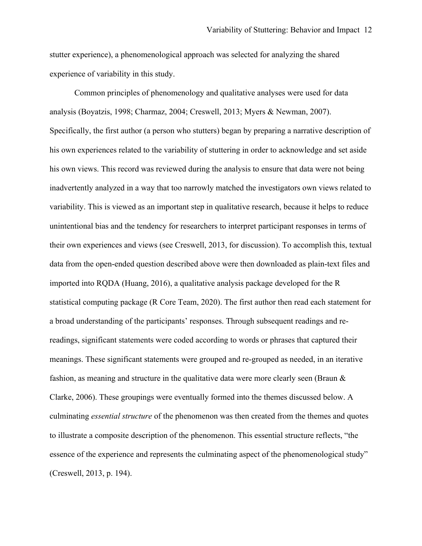stutter experience), a phenomenological approach was selected for analyzing the shared experience of variability in this study.

Common principles of phenomenology and qualitative analyses were used for data analysis (Boyatzis, 1998; Charmaz, 2004; Creswell, 2013; Myers & Newman, 2007). Specifically, the first author (a person who stutters) began by preparing a narrative description of his own experiences related to the variability of stuttering in order to acknowledge and set aside his own views. This record was reviewed during the analysis to ensure that data were not being inadvertently analyzed in a way that too narrowly matched the investigators own views related to variability. This is viewed as an important step in qualitative research, because it helps to reduce unintentional bias and the tendency for researchers to interpret participant responses in terms of their own experiences and views (see Creswell, 2013, for discussion). To accomplish this, textual data from the open-ended question described above were then downloaded as plain-text files and imported into RQDA (Huang, 2016), a qualitative analysis package developed for the R statistical computing package (R Core Team, 2020). The first author then read each statement for a broad understanding of the participants' responses. Through subsequent readings and rereadings, significant statements were coded according to words or phrases that captured their meanings. These significant statements were grouped and re-grouped as needed, in an iterative fashion, as meaning and structure in the qualitative data were more clearly seen (Braun & Clarke, 2006). These groupings were eventually formed into the themes discussed below. A culminating *essential structure* of the phenomenon was then created from the themes and quotes to illustrate a composite description of the phenomenon. This essential structure reflects, "the essence of the experience and represents the culminating aspect of the phenomenological study" (Creswell, 2013, p. 194).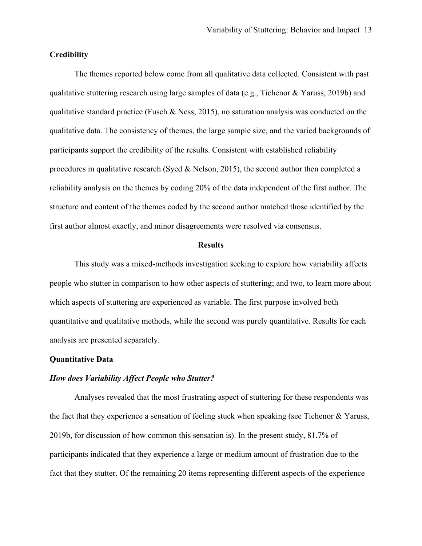## **Credibility**

The themes reported below come from all qualitative data collected. Consistent with past qualitative stuttering research using large samples of data (e.g., Tichenor & Yaruss, 2019b) and qualitative standard practice (Fusch & Ness, 2015), no saturation analysis was conducted on the qualitative data. The consistency of themes, the large sample size, and the varied backgrounds of participants support the credibility of the results. Consistent with established reliability procedures in qualitative research (Syed & Nelson, 2015), the second author then completed a reliability analysis on the themes by coding 20% of the data independent of the first author. The structure and content of the themes coded by the second author matched those identified by the first author almost exactly, and minor disagreements were resolved via consensus.

### **Results**

This study was a mixed-methods investigation seeking to explore how variability affects people who stutter in comparison to how other aspects of stuttering; and two, to learn more about which aspects of stuttering are experienced as variable. The first purpose involved both quantitative and qualitative methods, while the second was purely quantitative. Results for each analysis are presented separately.

## **Quantitative Data**

## *How does Variability Affect People who Stutter?*

Analyses revealed that the most frustrating aspect of stuttering for these respondents was the fact that they experience a sensation of feeling stuck when speaking (see Tichenor & Yaruss, 2019b, for discussion of how common this sensation is). In the present study, 81.7% of participants indicated that they experience a large or medium amount of frustration due to the fact that they stutter. Of the remaining 20 items representing different aspects of the experience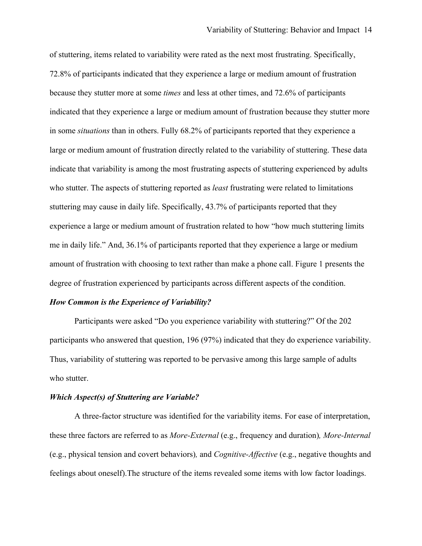of stuttering, items related to variability were rated as the next most frustrating. Specifically, 72.8% of participants indicated that they experience a large or medium amount of frustration because they stutter more at some *times* and less at other times, and 72.6% of participants indicated that they experience a large or medium amount of frustration because they stutter more in some *situations* than in others. Fully 68.2% of participants reported that they experience a large or medium amount of frustration directly related to the variability of stuttering. These data indicate that variability is among the most frustrating aspects of stuttering experienced by adults who stutter. The aspects of stuttering reported as *least* frustrating were related to limitations stuttering may cause in daily life. Specifically, 43.7% of participants reported that they experience a large or medium amount of frustration related to how "how much stuttering limits me in daily life." And, 36.1% of participants reported that they experience a large or medium amount of frustration with choosing to text rather than make a phone call. Figure 1 presents the degree of frustration experienced by participants across different aspects of the condition.

## *How Common is the Experience of Variability?*

Participants were asked "Do you experience variability with stuttering?" Of the 202 participants who answered that question, 196 (97%) indicated that they do experience variability. Thus, variability of stuttering was reported to be pervasive among this large sample of adults who stutter.

## *Which Aspect(s) of Stuttering are Variable?*

A three-factor structure was identified for the variability items. For ease of interpretation, these three factors are referred to as *More-External* (e.g., frequency and duration)*, More-Internal*  (e.g., physical tension and covert behaviors)*,* and *Cognitive-Affective* (e.g., negative thoughts and feelings about oneself).The structure of the items revealed some items with low factor loadings.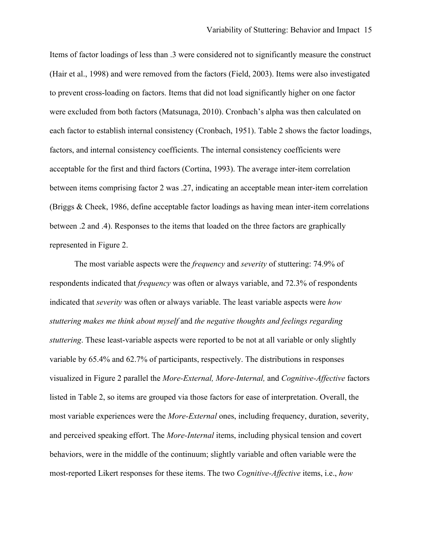Items of factor loadings of less than .3 were considered not to significantly measure the construct (Hair et al., 1998) and were removed from the factors (Field, 2003). Items were also investigated to prevent cross-loading on factors. Items that did not load significantly higher on one factor were excluded from both factors (Matsunaga, 2010). Cronbach's alpha was then calculated on each factor to establish internal consistency (Cronbach, 1951). Table 2 shows the factor loadings, factors, and internal consistency coefficients. The internal consistency coefficients were acceptable for the first and third factors (Cortina, 1993). The average inter-item correlation between items comprising factor 2 was .27, indicating an acceptable mean inter-item correlation (Briggs & Cheek, 1986, define acceptable factor loadings as having mean inter-item correlations between .2 and .4). Responses to the items that loaded on the three factors are graphically represented in Figure 2.

The most variable aspects were the *frequency* and *severity* of stuttering: 74.9% of respondents indicated that *frequency* was often or always variable, and 72.3% of respondents indicated that *severity* was often or always variable. The least variable aspects were *how stuttering makes me think about myself* and *the negative thoughts and feelings regarding stuttering*. These least-variable aspects were reported to be not at all variable or only slightly variable by 65.4% and 62.7% of participants, respectively. The distributions in responses visualized in Figure 2 parallel the *More-External, More-Internal,* and *Cognitive-Affective* factors listed in Table 2, so items are grouped via those factors for ease of interpretation. Overall, the most variable experiences were the *More-External* ones, including frequency, duration, severity, and perceived speaking effort. The *More-Internal* items, including physical tension and covert behaviors, were in the middle of the continuum; slightly variable and often variable were the most-reported Likert responses for these items. The two *Cognitive-Affective* items, i.e., *how*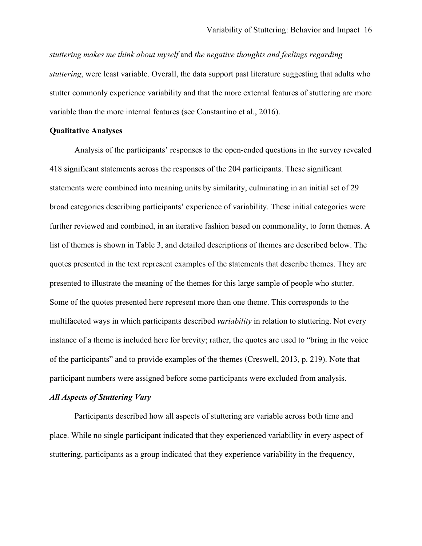*stuttering makes me think about myself* and *the negative thoughts and feelings regarding stuttering*, were least variable. Overall, the data support past literature suggesting that adults who stutter commonly experience variability and that the more external features of stuttering are more variable than the more internal features (see Constantino et al., 2016).

### **Qualitative Analyses**

Analysis of the participants' responses to the open-ended questions in the survey revealed 418 significant statements across the responses of the 204 participants. These significant statements were combined into meaning units by similarity, culminating in an initial set of 29 broad categories describing participants' experience of variability. These initial categories were further reviewed and combined, in an iterative fashion based on commonality, to form themes. A list of themes is shown in Table 3, and detailed descriptions of themes are described below. The quotes presented in the text represent examples of the statements that describe themes. They are presented to illustrate the meaning of the themes for this large sample of people who stutter. Some of the quotes presented here represent more than one theme. This corresponds to the multifaceted ways in which participants described *variability* in relation to stuttering. Not every instance of a theme is included here for brevity; rather, the quotes are used to "bring in the voice of the participants" and to provide examples of the themes (Creswell, 2013, p. 219). Note that participant numbers were assigned before some participants were excluded from analysis.

#### *All Aspects of Stuttering Vary*

Participants described how all aspects of stuttering are variable across both time and place. While no single participant indicated that they experienced variability in every aspect of stuttering, participants as a group indicated that they experience variability in the frequency,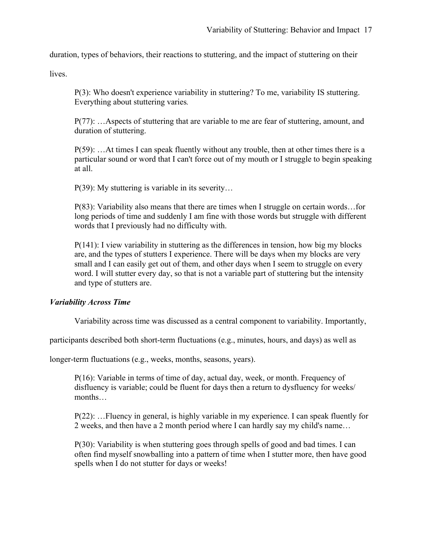duration, types of behaviors, their reactions to stuttering, and the impact of stuttering on their

lives.

P(3): Who doesn't experience variability in stuttering? To me, variability IS stuttering. Everything about stuttering varies*.*

P(77): …Aspects of stuttering that are variable to me are fear of stuttering, amount, and duration of stuttering.

 $P(59)$ : ... At times I can speak fluently without any trouble, then at other times there is a particular sound or word that I can't force out of my mouth or I struggle to begin speaking at all.

P(39): My stuttering is variable in its severity…

P(83): Variability also means that there are times when I struggle on certain words…for long periods of time and suddenly I am fine with those words but struggle with different words that I previously had no difficulty with.

P(141): I view variability in stuttering as the differences in tension, how big my blocks are, and the types of stutters I experience. There will be days when my blocks are very small and I can easily get out of them, and other days when I seem to struggle on every word. I will stutter every day, so that is not a variable part of stuttering but the intensity and type of stutters are.

# *Variability Across Time*

Variability across time was discussed as a central component to variability. Importantly,

participants described both short-term fluctuations (e.g., minutes, hours, and days) as well as

longer-term fluctuations (e.g., weeks, months, seasons, years).

P(16): Variable in terms of time of day, actual day, week, or month. Frequency of disfluency is variable; could be fluent for days then a return to dysfluency for weeks/ months…

P(22): …Fluency in general, is highly variable in my experience. I can speak fluently for 2 weeks, and then have a 2 month period where I can hardly say my child's name…

P(30): Variability is when stuttering goes through spells of good and bad times. I can often find myself snowballing into a pattern of time when I stutter more, then have good spells when I do not stutter for days or weeks!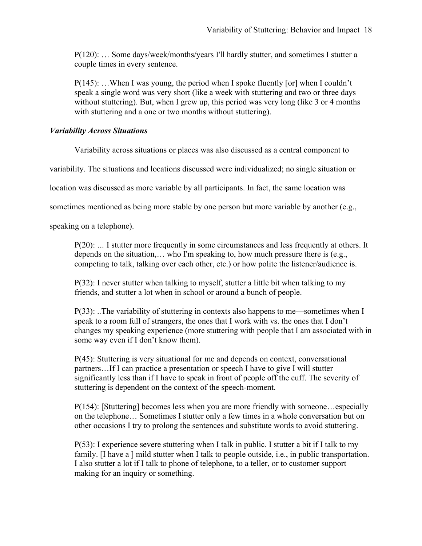P(120): … Some days/week/months/years I'll hardly stutter, and sometimes I stutter a couple times in every sentence.

P(145): …When I was young, the period when I spoke fluently [or] when I couldn't speak a single word was very short (like a week with stuttering and two or three days without stuttering). But, when I grew up, this period was very long (like 3 or 4 months with stuttering and a one or two months without stuttering).

# *Variability Across Situations*

Variability across situations or places was also discussed as a central component to

variability. The situations and locations discussed were individualized; no single situation or

location was discussed as more variable by all participants. In fact, the same location was

sometimes mentioned as being more stable by one person but more variable by another (e.g.,

speaking on a telephone).

P(20): *…* I stutter more frequently in some circumstances and less frequently at others. It depends on the situation,… who I'm speaking to, how much pressure there is (e.g., competing to talk, talking over each other, etc.) or how polite the listener/audience is.

P(32): I never stutter when talking to myself, stutter a little bit when talking to my friends, and stutter a lot when in school or around a bunch of people.

P(33): ..The variability of stuttering in contexts also happens to me—sometimes when I speak to a room full of strangers, the ones that I work with vs. the ones that I don't changes my speaking experience (more stuttering with people that I am associated with in some way even if I don't know them).

P(45): Stuttering is very situational for me and depends on context, conversational partners…If I can practice a presentation or speech I have to give I will stutter significantly less than if I have to speak in front of people off the cuff. The severity of stuttering is dependent on the context of the speech-moment.

P(154): [Stuttering] becomes less when you are more friendly with someone…especially on the telephone… Sometimes I stutter only a few times in a whole conversation but on other occasions I try to prolong the sentences and substitute words to avoid stuttering.

P(53): I experience severe stuttering when I talk in public. I stutter a bit if I talk to my family. [I have a ] mild stutter when I talk to people outside, i.e., in public transportation. I also stutter a lot if I talk to phone of telephone, to a teller, or to customer support making for an inquiry or something.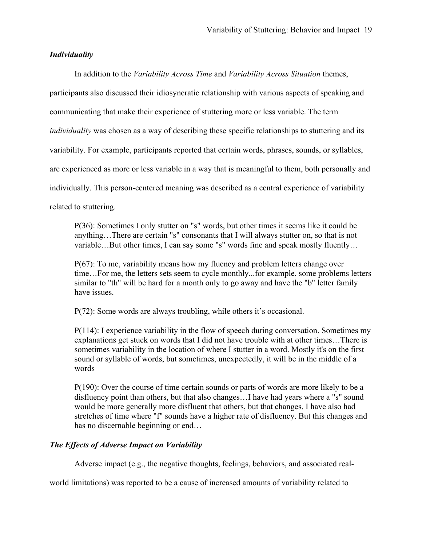## *Individuality*

In addition to the *Variability Across Time* and *Variability Across Situation* themes, participants also discussed their idiosyncratic relationship with various aspects of speaking and communicating that make their experience of stuttering more or less variable. The term *individuality* was chosen as a way of describing these specific relationships to stuttering and its variability. For example, participants reported that certain words, phrases, sounds, or syllables, are experienced as more or less variable in a way that is meaningful to them, both personally and individually. This person-centered meaning was described as a central experience of variability related to stuttering.

P(36): Sometimes I only stutter on "s" words, but other times it seems like it could be anything…There are certain "s" consonants that I will always stutter on, so that is not variable…But other times, I can say some "s" words fine and speak mostly fluently…

P(67): To me, variability means how my fluency and problem letters change over time…For me, the letters sets seem to cycle monthly...for example, some problems letters similar to "th" will be hard for a month only to go away and have the "b" letter family have issues.

P(72): Some words are always troubling, while others it's occasional.

P(114): I experience variability in the flow of speech during conversation. Sometimes my explanations get stuck on words that I did not have trouble with at other times…There is sometimes variability in the location of where I stutter in a word. Mostly it's on the first sound or syllable of words, but sometimes, unexpectedly, it will be in the middle of a words

P(190): Over the course of time certain sounds or parts of words are more likely to be a disfluency point than others, but that also changes…I have had years where a "s" sound would be more generally more disfluent that others, but that changes. I have also had stretches of time where "f" sounds have a higher rate of disfluency. But this changes and has no discernable beginning or end…

# *The Effects of Adverse Impact on Variability*

Adverse impact (e.g., the negative thoughts, feelings, behaviors, and associated real-

world limitations) was reported to be a cause of increased amounts of variability related to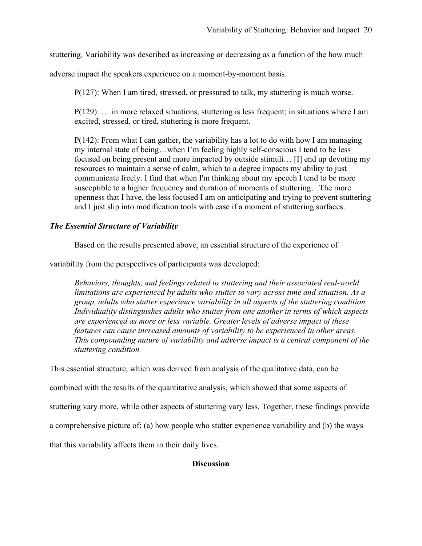stuttering. Variability was described as increasing or decreasing as a function of the how much

adverse impact the speakers experience on a moment-by-moment basis.

P(127): When I am tired, stressed, or pressured to talk, my stuttering is much worse.

P(129): … in more relaxed situations, stuttering is less frequent; in situations where I am excited, stressed, or tired, stuttering is more frequent.

P(142): From what I can gather, the variability has a lot to do with how I am managing my internal state of being…when I'm feeling highly self-conscious I tend to be less focused on being present and more impacted by outside stimuli… [I] end up devoting my resources to maintain a sense of calm, which to a degree impacts my ability to just communicate freely. I find that when I'm thinking about my speech I tend to be more susceptible to a higher frequency and duration of moments of stuttering…The more openness that I have, the less focused I am on anticipating and trying to prevent stuttering and I just slip into modification tools with ease if a moment of stuttering surfaces.

# *The Essential Structure of Variability*

Based on the results presented above, an essential structure of the experience of

variability from the perspectives of participants was developed:

*Behaviors, thoughts, and feelings related to stuttering and their associated real-world limitations are experienced by adults who stutter to vary across time and situation. As a group, adults who stutter experience variability in all aspects of the stuttering condition. Individuality distinguishes adults who stutter from one another in terms of which aspects are experienced as more or less variable. Greater levels of adverse impact of these features can cause increased amounts of variability to be experienced in other areas. This compounding nature of variability and adverse impact is a central component of the stuttering condition.*

This essential structure, which was derived from analysis of the qualitative data, can be

combined with the results of the quantitative analysis, which showed that some aspects of

stuttering vary more, while other aspects of stuttering vary less. Together, these findings provide

a comprehensive picture of: (a) how people who stutter experience variability and (b) the ways

that this variability affects them in their daily lives.

# **Discussion**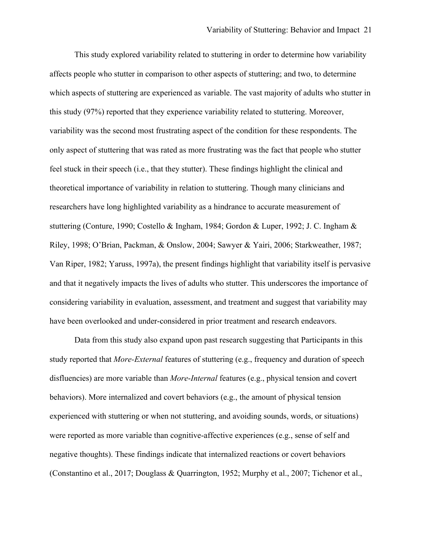This study explored variability related to stuttering in order to determine how variability affects people who stutter in comparison to other aspects of stuttering; and two, to determine which aspects of stuttering are experienced as variable. The vast majority of adults who stutter in this study (97%) reported that they experience variability related to stuttering. Moreover, variability was the second most frustrating aspect of the condition for these respondents. The only aspect of stuttering that was rated as more frustrating was the fact that people who stutter feel stuck in their speech (i.e., that they stutter). These findings highlight the clinical and theoretical importance of variability in relation to stuttering. Though many clinicians and researchers have long highlighted variability as a hindrance to accurate measurement of stuttering (Conture, 1990; Costello & Ingham, 1984; Gordon & Luper, 1992; J. C. Ingham & Riley, 1998; O'Brian, Packman, & Onslow, 2004; Sawyer & Yairi, 2006; Starkweather, 1987; Van Riper, 1982; Yaruss, 1997a), the present findings highlight that variability itself is pervasive and that it negatively impacts the lives of adults who stutter. This underscores the importance of considering variability in evaluation, assessment, and treatment and suggest that variability may have been overlooked and under-considered in prior treatment and research endeavors.

Data from this study also expand upon past research suggesting that Participants in this study reported that *More-External* features of stuttering (e.g., frequency and duration of speech disfluencies) are more variable than *More*-*Internal* features (e.g., physical tension and covert behaviors). More internalized and covert behaviors (e.g., the amount of physical tension experienced with stuttering or when not stuttering, and avoiding sounds, words, or situations) were reported as more variable than cognitive-affective experiences (e.g., sense of self and negative thoughts). These findings indicate that internalized reactions or covert behaviors (Constantino et al., 2017; Douglass & Quarrington, 1952; Murphy et al., 2007; Tichenor et al.,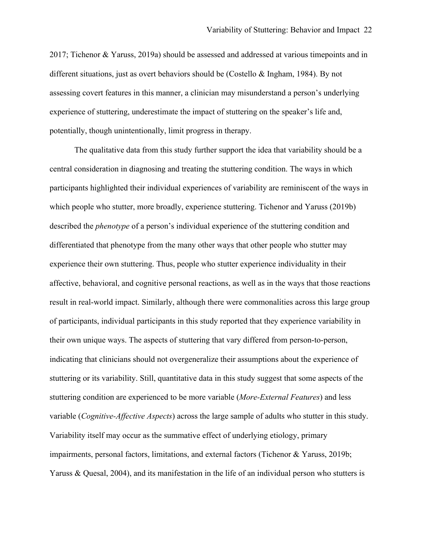2017; Tichenor & Yaruss, 2019a) should be assessed and addressed at various timepoints and in different situations, just as overt behaviors should be (Costello & Ingham, 1984). By not assessing covert features in this manner, a clinician may misunderstand a person's underlying experience of stuttering, underestimate the impact of stuttering on the speaker's life and, potentially, though unintentionally, limit progress in therapy.

The qualitative data from this study further support the idea that variability should be a central consideration in diagnosing and treating the stuttering condition. The ways in which participants highlighted their individual experiences of variability are reminiscent of the ways in which people who stutter, more broadly, experience stuttering. Tichenor and Yaruss (2019b) described the *phenotype* of a person's individual experience of the stuttering condition and differentiated that phenotype from the many other ways that other people who stutter may experience their own stuttering. Thus, people who stutter experience individuality in their affective, behavioral, and cognitive personal reactions, as well as in the ways that those reactions result in real-world impact. Similarly, although there were commonalities across this large group of participants, individual participants in this study reported that they experience variability in their own unique ways. The aspects of stuttering that vary differed from person-to-person, indicating that clinicians should not overgeneralize their assumptions about the experience of stuttering or its variability. Still, quantitative data in this study suggest that some aspects of the stuttering condition are experienced to be more variable (*More-External Features*) and less variable (*Cognitive-Affective Aspects*) across the large sample of adults who stutter in this study. Variability itself may occur as the summative effect of underlying etiology, primary impairments, personal factors, limitations, and external factors (Tichenor & Yaruss, 2019b; Yaruss & Quesal, 2004), and its manifestation in the life of an individual person who stutters is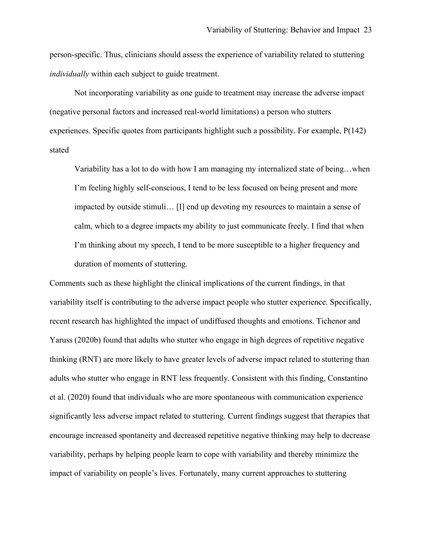person-specific. Thus, clinicians should assess the experience of variability related to stuttering *individually* within each subject to guide treatment.

Not incorporating variability as one guide to treatment may increase the adverse impact (negative personal factors and increased real-world limitations) a person who stutters experiences. Specific quotes from participants highlight such a possibility. For example, P(142) stated

Variability has a lot to do with how I am managing my internalized state of being…when I'm feeling highly self-conscious, I tend to be less focused on being present and more impacted by outside stimuli… [I] end up devoting my resources to maintain a sense of calm, which to a degree impacts my ability to just communicate freely. I find that when I'm thinking about my speech, I tend to be more susceptible to a higher frequency and duration of moments of stuttering.

Comments such as these highlight the clinical implications of the current findings, in that variability itself is contributing to the adverse impact people who stutter experience. Specifically, recent research has highlighted the impact of undiffused thoughts and emotions. Tichenor and Yaruss (2020b) found that adults who stutter who engage in high degrees of repetitive negative thinking (RNT) are more likely to have greater levels of adverse impact related to stuttering than adults who stutter who engage in RNT less frequently. Consistent with this finding, Constantino et al. (2020) found that individuals who are more spontaneous with communication experience significantly less adverse impact related to stuttering. Current findings suggest that therapies that encourage increased spontaneity and decreased repetitive negative thinking may help to decrease variability, perhaps by helping people learn to cope with variability and thereby minimize the impact of variability on people's lives. Fortunately, many current approaches to stuttering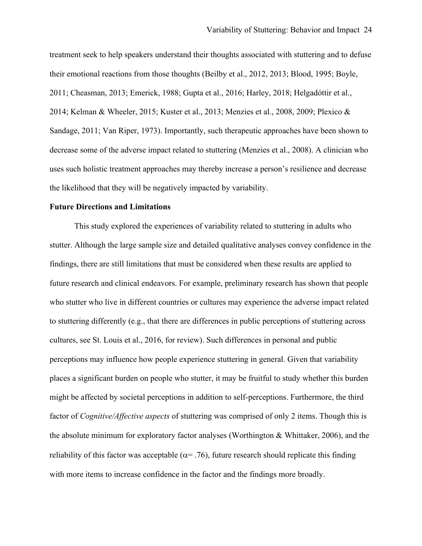treatment seek to help speakers understand their thoughts associated with stuttering and to defuse their emotional reactions from those thoughts (Beilby et al., 2012, 2013; Blood, 1995; Boyle, 2011; Cheasman, 2013; Emerick, 1988; Gupta et al., 2016; Harley, 2018; Helgadóttir et al., 2014; Kelman & Wheeler, 2015; Kuster et al., 2013; Menzies et al., 2008, 2009; Plexico & Sandage, 2011; Van Riper, 1973). Importantly, such therapeutic approaches have been shown to decrease some of the adverse impact related to stuttering (Menzies et al., 2008). A clinician who uses such holistic treatment approaches may thereby increase a person's resilience and decrease the likelihood that they will be negatively impacted by variability.

## **Future Directions and Limitations**

This study explored the experiences of variability related to stuttering in adults who stutter. Although the large sample size and detailed qualitative analyses convey confidence in the findings, there are still limitations that must be considered when these results are applied to future research and clinical endeavors. For example, preliminary research has shown that people who stutter who live in different countries or cultures may experience the adverse impact related to stuttering differently (e.g., that there are differences in public perceptions of stuttering across cultures, see St. Louis et al., 2016, for review). Such differences in personal and public perceptions may influence how people experience stuttering in general. Given that variability places a significant burden on people who stutter, it may be fruitful to study whether this burden might be affected by societal perceptions in addition to self-perceptions. Furthermore, the third factor of *Cognitive/Affective aspects* of stuttering was comprised of only 2 items. Though this is the absolute minimum for exploratory factor analyses (Worthington & Whittaker, 2006), and the reliability of this factor was acceptable ( $\alpha$ = .76), future research should replicate this finding with more items to increase confidence in the factor and the findings more broadly.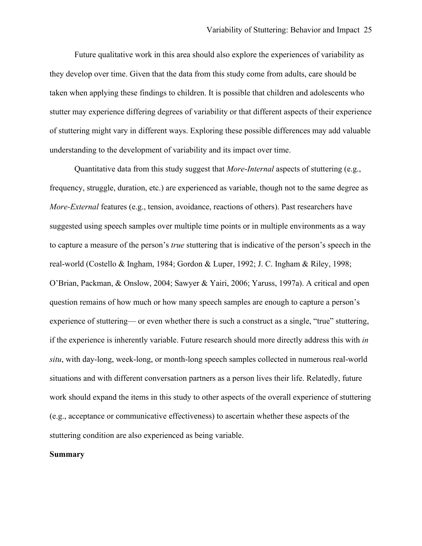Future qualitative work in this area should also explore the experiences of variability as they develop over time. Given that the data from this study come from adults, care should be taken when applying these findings to children. It is possible that children and adolescents who stutter may experience differing degrees of variability or that different aspects of their experience of stuttering might vary in different ways. Exploring these possible differences may add valuable understanding to the development of variability and its impact over time.

Quantitative data from this study suggest that *More*-*Internal* aspects of stuttering (e.g., frequency, struggle, duration, etc.) are experienced as variable, though not to the same degree as *More-External* features (e.g., tension, avoidance, reactions of others). Past researchers have suggested using speech samples over multiple time points or in multiple environments as a way to capture a measure of the person's *true* stuttering that is indicative of the person's speech in the real-world (Costello & Ingham, 1984; Gordon & Luper, 1992; J. C. Ingham & Riley, 1998; O'Brian, Packman, & Onslow, 2004; Sawyer & Yairi, 2006; Yaruss, 1997a). A critical and open question remains of how much or how many speech samples are enough to capture a person's experience of stuttering— or even whether there is such a construct as a single, "true" stuttering, if the experience is inherently variable. Future research should more directly address this with *in situ*, with day-long, week-long, or month-long speech samples collected in numerous real-world situations and with different conversation partners as a person lives their life. Relatedly, future work should expand the items in this study to other aspects of the overall experience of stuttering (e.g., acceptance or communicative effectiveness) to ascertain whether these aspects of the stuttering condition are also experienced as being variable.

## **Summary**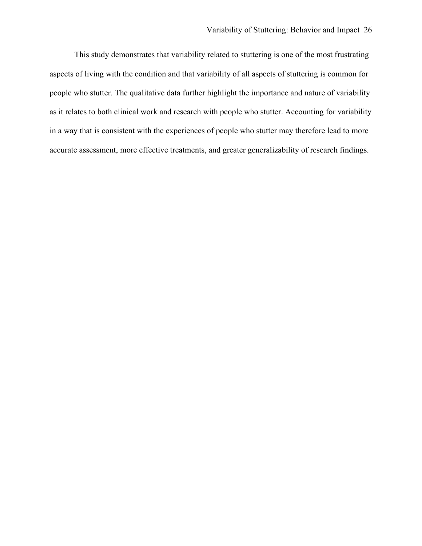This study demonstrates that variability related to stuttering is one of the most frustrating aspects of living with the condition and that variability of all aspects of stuttering is common for people who stutter. The qualitative data further highlight the importance and nature of variability as it relates to both clinical work and research with people who stutter. Accounting for variability in a way that is consistent with the experiences of people who stutter may therefore lead to more accurate assessment, more effective treatments, and greater generalizability of research findings.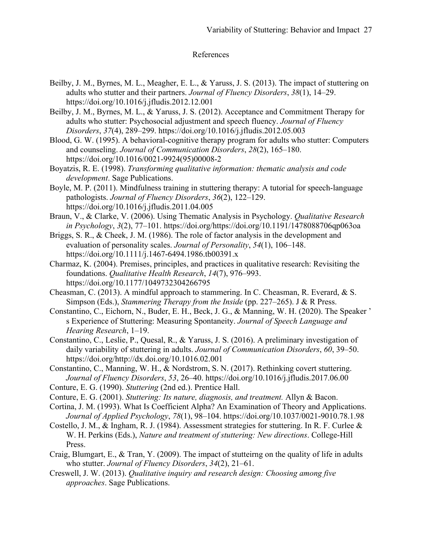# References

- Beilby, J. M., Byrnes, M. L., Meagher, E. L., & Yaruss, J. S. (2013). The impact of stuttering on adults who stutter and their partners. *Journal of Fluency Disorders*, *38*(1), 14–29. https://doi.org/10.1016/j.jfludis.2012.12.001
- Beilby, J. M., Byrnes, M. L., & Yaruss, J. S. (2012). Acceptance and Commitment Therapy for adults who stutter: Psychosocial adjustment and speech fluency. *Journal of Fluency Disorders*, *37*(4), 289–299. https://doi.org/10.1016/j.jfludis.2012.05.003
- Blood, G. W. (1995). A behavioral-cognitive therapy program for adults who stutter: Computers and counseling. *Journal of Communication Disorders*, *28*(2), 165–180. https://doi.org/10.1016/0021-9924(95)00008-2
- Boyatzis, R. E. (1998). *Transforming qualitative information: thematic analysis and code development*. Sage Publications.
- Boyle, M. P. (2011). Mindfulness training in stuttering therapy: A tutorial for speech-language pathologists. *Journal of Fluency Disorders*, *36*(2), 122–129. https://doi.org/10.1016/j.jfludis.2011.04.005
- Braun, V., & Clarke, V. (2006). Using Thematic Analysis in Psychology. *Qualitative Research in Psychology*, *3*(2), 77–101. https://doi.org/https://doi.org/10.1191/1478088706qp063oa
- Briggs, S. R., & Cheek, J. M. (1986). The role of factor analysis in the development and evaluation of personality scales. *Journal of Personality*, *54*(1), 106–148. https://doi.org/10.1111/j.1467-6494.1986.tb00391.x
- Charmaz, K. (2004). Premises, principles, and practices in qualitative research: Revisiting the foundations. *Qualitative Health Research*, *14*(7), 976–993. https://doi.org/10.1177/1049732304266795
- Cheasman, C. (2013). A mindful approach to stammering. In C. Cheasman, R. Everard, & S. Simpson (Eds.), *Stammering Therapy from the Inside* (pp. 227–265). J & R Press.
- Constantino, C., Eichorn, N., Buder, E. H., Beck, J. G., & Manning, W. H. (2020). The Speaker ' s Experience of Stuttering: Measuring Spontaneity. *Journal of Speech Language and Hearing Research*, 1–19.
- Constantino, C., Leslie, P., Quesal, R., & Yaruss, J. S. (2016). A preliminary investigation of daily variability of stuttering in adults. *Journal of Communication Disorders*, *60*, 39–50. https://doi.org/http://dx.doi.org/10.1016.02.001
- Constantino, C., Manning, W. H., & Nordstrom, S. N. (2017). Rethinking covert stuttering. *Journal of Fluency Disorders*, *53*, 26–40. https://doi.org/10.1016/j.jfludis.2017.06.00
- Conture, E. G. (1990). *Stuttering* (2nd ed.). Prentice Hall.
- Conture, E. G. (2001). *Stuttering: Its nature, diagnosis, and treatment.* Allyn & Bacon.
- Cortina, J. M. (1993). What Is Coefficient Alpha? An Examination of Theory and Applications. *Journal of Applied Psychology*, *78*(1), 98–104. https://doi.org/10.1037/0021-9010.78.1.98
- Costello, J. M., & Ingham, R. J. (1984). Assessment strategies for stuttering. In R. F. Curlee & W. H. Perkins (Eds.), *Nature and treatment of stuttering: New directions*. College-Hill Press.
- Craig, Blumgart, E., & Tran, Y. (2009). The impact of stutteirng on the quality of life in adults who stutter. *Journal of Fluency Disorders*, *34*(2), 21–61.
- Creswell, J. W. (2013). *Qualitative inquiry and research design: Choosing among five approaches*. Sage Publications.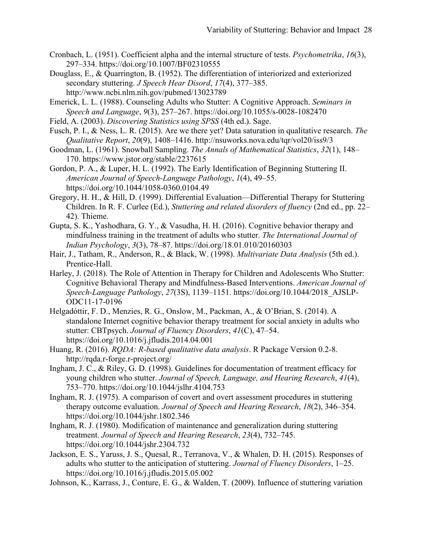- Cronbach, L. (1951). Coefficient alpha and the internal structure of tests. *Psychometrika*, *16*(3), 297–334. https://doi.org/10.1007/BF02310555
- Douglass, E., & Quarrington, B. (1952). The differentiation of interiorized and exteriorized secondary stuttering. *J Speech Hear Disord*, *17*(4), 377–385. http://www.ncbi.nlm.nih.gov/pubmed/13023789

Emerick, L. L. (1988). Counseling Adults who Stutter: A Cognitive Approach. *Seminars in Speech and Language*, *9*(3), 257–267. https://doi.org/10.1055/s-0028-1082470

Field, A. (2003). *Discovering Statistics using SPSS* (4th ed.). Sage.

Fusch, P. I., & Ness, L. R. (2015). Are we there yet? Data saturation in qualitative research. *The Qualitative Report*, *20*(9), 1408–1416. http://nsuworks.nova.edu/tqr/vol20/iss9/3

Goodman, L. (1961). Snowball Sampling. *The Annals of Mathematical Statistics*, *32*(1), 148– 170. https://www.jstor.org/stable/2237615

Gordon, P. A., & Luper, H. L. (1992). The Early Identification of Beginning Stuttering II. *American Journal of Speech-Language Pathology*, *1*(4), 49–55. https://doi.org/10.1044/1058-0360.0104.49

- Gregory, H. H., & Hill, D. (1999). Differential Evaluation—Differential Therapy for Stuttering Children. In R. F. Curlee (Ed.), *Stuttering and related disorders of fluency* (2nd ed., pp. 22– 42). Thieme.
- Gupta, S. K., Yashodhara, G. Y., & Vasudha, H. H. (2016). Cognitive behavior therapy and mindfulness training in the treatment of adults who stutter. *The International Journal of Indian Psychology*, *3*(3), 78–87. https://doi.org/18.01.010/20160303
- Hair, J., Tatham, R., Anderson, R., & Black, W. (1998). *Multivariate Data Analysis* (5th ed.). Prentice-Hall.
- Harley, J. (2018). The Role of Attention in Therapy for Children and Adolescents Who Stutter: Cognitive Behavioral Therapy and Mindfulness-Based Interventions. *American Journal of Speech-Language Pathology*, *27*(3S), 1139–1151. https://doi.org/10.1044/2018\_AJSLP-ODC11-17-0196
- Helgadóttir, F. D., Menzies, R. G., Onslow, M., Packman, A., & O'Brian, S. (2014). A standalone Internet cognitive behavior therapy treatment for social anxiety in adults who stutter: CBTpsych. *Journal of Fluency Disorders*, *41*(C), 47–54. https://doi.org/10.1016/j.jfludis.2014.04.001
- Huang, R. (2016). *RQDA: R-based qualitative data analysis*. R Package Version 0.2-8. http://rqda.r-forge.r-project.org/
- Ingham, J. C., & Riley, G. D. (1998). Guidelines for documentation of treatment efficacy for young children who stutter. *Journal of Speech, Language, and Hearing Research*, *41*(4), 753–770. https://doi.org/10.1044/jslhr.4104.753
- Ingham, R. J. (1975). A comparison of covert and overt assessment procedures in stuttering therapy outcome evaluation. *Journal of Speech and Hearing Research*, *18*(2), 346–354. https://doi.org/10.1044/jshr.1802.346
- Ingham, R. J. (1980). Modification of maintenance and generalization during stuttering treatment. *Journal of Speech and Hearing Research*, *23*(4), 732–745. https://doi.org/10.1044/jshr.2304.732
- Jackson, E. S., Yaruss, J. S., Quesal, R., Terranova, V., & Whalen, D. H. (2015). Responses of adults who stutter to the anticipation of stuttering. *Journal of Fluency Disorders*, 1–25. https://doi.org/10.1016/j.jfludis.2015.05.002
- Johnson, K., Karrass, J., Conture, E. G., & Walden, T. (2009). Influence of stuttering variation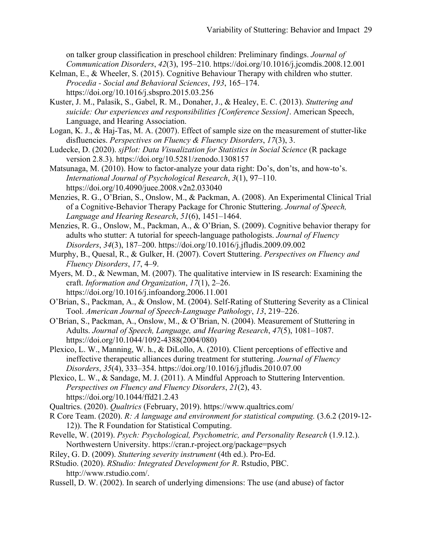on talker group classification in preschool children: Preliminary findings. *Journal of Communication Disorders*, *42*(3), 195–210. https://doi.org/10.1016/j.jcomdis.2008.12.001

- Kelman, E., & Wheeler, S. (2015). Cognitive Behaviour Therapy with children who stutter. *Procedia - Social and Behavioral Sciences*, *193*, 165–174. https://doi.org/10.1016/j.sbspro.2015.03.256
- Kuster, J. M., Palasik, S., Gabel, R. M., Donaher, J., & Healey, E. C. (2013). *Stuttering and suicide: Our experiences and responsibilities [Conference Session]*. American Speech, Language, and Hearing Association.
- Logan, K. J., & Haj-Tas, M. A. (2007). Effect of sample size on the measurement of stutter-like disfluencies. *Perspectives on Fluency & Fluency Disorders*, *17*(3), 3.
- Ludecke, D. (2020). *sjPlot: Data Visualization for Statistics in Social Science* (R package version 2.8.3). https://doi.org/10.5281/zenodo.1308157
- Matsunaga, M. (2010). How to factor-analyze your data right: Do's, don'ts, and how-to's. *International Journal of Psychological Research*, *3*(1), 97–110. https://doi.org/10.4090/juee.2008.v2n2.033040
- Menzies, R. G., O'Brian, S., Onslow, M., & Packman, A. (2008). An Experimental Clinical Trial of a Cognitive-Behavior Therapy Package for Chronic Stuttering. *Journal of Speech, Language and Hearing Research*, *51*(6), 1451–1464.
- Menzies, R. G., Onslow, M., Packman, A., & O'Brian, S. (2009). Cognitive behavior therapy for adults who stutter: A tutorial for speech-language pathologists. *Journal of Fluency Disorders*, *34*(3), 187–200. https://doi.org/10.1016/j.jfludis.2009.09.002
- Murphy, B., Quesal, R., & Gulker, H. (2007). Covert Stuttering. *Perspectives on Fluency and Fluency Disorders*, *17*, 4–9.
- Myers, M. D., & Newman, M. (2007). The qualitative interview in IS research: Examining the craft. *Information and Organization*, *17*(1), 2–26. https://doi.org/10.1016/j.infoandorg.2006.11.001
- O'Brian, S., Packman, A., & Onslow, M. (2004). Self-Rating of Stuttering Severity as a Clinical Tool. *American Journal of Speech-Language Pathology*, *13*, 219–226.
- O'Brian, S., Packman, A., Onslow, M., & O'Brian, N. (2004). Measurement of Stuttering in Adults. *Journal of Speech, Language, and Hearing Research*, *47*(5), 1081–1087. https://doi.org/10.1044/1092-4388(2004/080)
- Plexico, L. W., Manning, W. h., & DiLollo, A. (2010). Client perceptions of effective and ineffective therapeutic alliances during treatment for stuttering. *Journal of Fluency Disorders*, *35*(4), 333–354. https://doi.org/10.1016/j.jfludis.2010.07.00
- Plexico, L. W., & Sandage, M. J. (2011). A Mindful Approach to Stuttering Intervention. *Perspectives on Fluency and Fluency Disorders*, *21*(2), 43. https://doi.org/10.1044/ffd21.2.43
- Qualtrics. (2020). *Qualtrics* (February, 2019). https://www.qualtrics.com/
- R Core Team. (2020). *R: A language and environment for statistical computing.* (3.6.2 (2019-12- 12)). The R Foundation for Statistical Computing.
- Revelle, W. (2019). *Psych: Psychological, Psychometric, and Personality Research* (1.9.12.). Northwestern University. https://cran.r-project.org/package=psych
- Riley, G. D. (2009). *Stuttering severity instrument* (4th ed.). Pro-Ed.
- RStudio. (2020). *RStudio: Integrated Development for R*. Rstudio, PBC. http://www.rstudio.com/.
- Russell, D. W. (2002). In search of underlying dimensions: The use (and abuse) of factor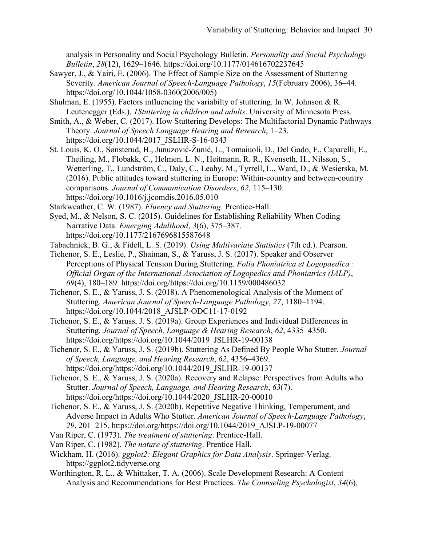analysis in Personality and Social Psychology Bulletin. *Personality and Social Psychology Bulletin*, *28*(12), 1629–1646. https://doi.org/10.1177/014616702237645

- Sawyer, J., & Yairi, E. (2006). The Effect of Sample Size on the Assessment of Stuttering Severity. *American Journal of Speech-Language Pathology*, *15*(February 2006), 36–44. https://doi.org/10.1044/1058-0360(2006/005)
- Shulman, E. (1955). Factors influencing the variabilty of stuttering. In W. Johnson & R. Leutenegger (Eds.), *1Stuttering in children and adults*. University of Minnesota Press.
- Smith, A., & Weber, C. (2017). How Stuttering Develops: The Multifactorial Dynamic Pathways Theory. *Journal of Speech Language Hearing and Research*, 1–23. https://doi.org/10.1044/2017\_JSLHR-S-16-0343
- St. Louis, K. O., Sønsterud, H., Junuzović-Žunić, L., Tomaiuoli, D., Del Gado, F., Caparelli, E., Theiling, M., Flobakk, C., Helmen, L. N., Heitmann, R. R., Kvenseth, H., Nilsson, S., Wetterling, T., Lundström, C., Daly, C., Leahy, M., Tyrrell, L., Ward, D., & Wesierska, M. (2016). Public attitudes toward stuttering in Europe: Within-country and between-country comparisons. *Journal of Communication Disorders*, *62*, 115–130. https://doi.org/10.1016/j.jcomdis.2016.05.010
- Starkweather, C. W. (1987). *Fluency and Stuttering*. Prentice-Hall.
- Syed, M., & Nelson, S. C. (2015). Guidelines for Establishing Reliability When Coding Narrative Data. *Emerging Adulthood*, *3*(6), 375–387. https://doi.org/10.1177/2167696815587648
- Tabachnick, B. G., & Fidell, L. S. (2019). *Using Multivariate Statistics* (7th ed.). Pearson.
- Tichenor, S. E., Leslie, P., Shaiman, S., & Yaruss, J. S. (2017). Speaker and Observer Perceptions of Physical Tension During Stuttering. *Folia Phoniatrica et Logopaedica : Official Organ of the International Association of Logopedics and Phoniatrics (IALP)*, *69*(4), 180–189. https://doi.org/https://doi.org/10.1159/000486032
- Tichenor, S. E., & Yaruss, J. S. (2018). A Phenomenological Analysis of the Moment of Stuttering. *American Journal of Speech-Language Pathology*, *27*, 1180–1194. https://doi.org/10.1044/2018\_AJSLP-ODC11-17-0192
- Tichenor, S. E., & Yaruss, J. S. (2019a). Group Experiences and Individual Differences in Stuttering. *Journal of Speech, Language & Hearing Research*, *62*, 4335–4350. https://doi.org/https://doi.org/10.1044/2019\_JSLHR-19-00138
- Tichenor, S. E., & Yaruss, J. S. (2019b). Stuttering As Defined By People Who Stutter. *Journal of Speech, Language, and Hearing Research*, *62*, 4356–4369. https://doi.org/https://doi.org/10.1044/2019\_JSLHR-19-00137
- Tichenor, S. E., & Yaruss, J. S. (2020a). Recovery and Relapse: Perspectives from Adults who Stutter. *Journal of Speech, Language, and Hearing Research*, *63*(7). https://doi.org/https://doi.org/10.1044/2020\_JSLHR-20-00010
- Tichenor, S. E., & Yaruss, J. S. (2020b). Repetitive Negative Thinking, Temperament, and Adverse Impact in Adults Who Stutter. *American Journal of Speech-Language Pathology*, *29*, 201–215. https://doi.org/https://doi.org/10.1044/2019\_AJSLP-19-00077
- Van Riper, C. (1973). *The treatment of stuttering*. Prentice-Hall.
- Van Riper, C. (1982). *The nature of stuttering*. Prentice Hall.
- Wickham, H. (2016). *ggplot2: Elegant Graphics for Data Analysis*. Springer-Verlag. https://ggplot2.tidyverse.org
- Worthington, R. L., & Whittaker, T. A. (2006). Scale Development Research: A Content Analysis and Recommendations for Best Practices. *The Counseling Psychologist*, *34*(6),